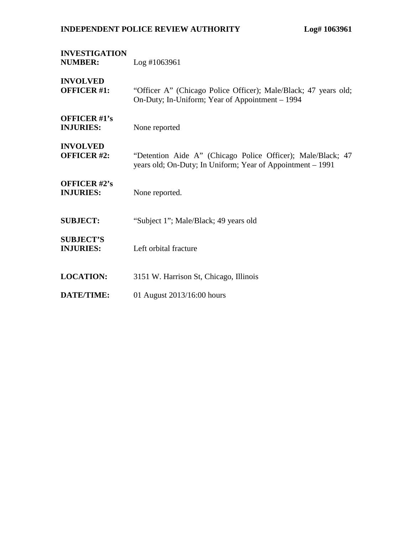| <b>INVESTIGATION</b><br><b>NUMBER:</b>  | $Log$ #1063961                                                                                                            |
|-----------------------------------------|---------------------------------------------------------------------------------------------------------------------------|
| <b>INVOLVED</b><br><b>OFFICER #1:</b>   | "Officer A" (Chicago Police Officer); Male/Black; 47 years old;<br>On-Duty; In-Uniform; Year of Appointment – 1994        |
| <b>OFFICER #1's</b><br><b>INJURIES:</b> | None reported                                                                                                             |
| <b>INVOLVED</b><br><b>OFFICER #2:</b>   | "Detention Aide A" (Chicago Police Officer); Male/Black; 47<br>years old; On-Duty; In Uniform; Year of Appointment - 1991 |
| <b>OFFICER #2's</b><br><b>INJURIES:</b> | None reported.                                                                                                            |
| <b>SUBJECT:</b>                         | "Subject 1"; Male/Black; 49 years old                                                                                     |
| <b>SUBJECT'S</b><br><b>INJURIES:</b>    | Left orbital fracture                                                                                                     |
| <b>LOCATION:</b>                        | 3151 W. Harrison St, Chicago, Illinois                                                                                    |
| <b>DATE/TIME:</b>                       | 01 August 2013/16:00 hours                                                                                                |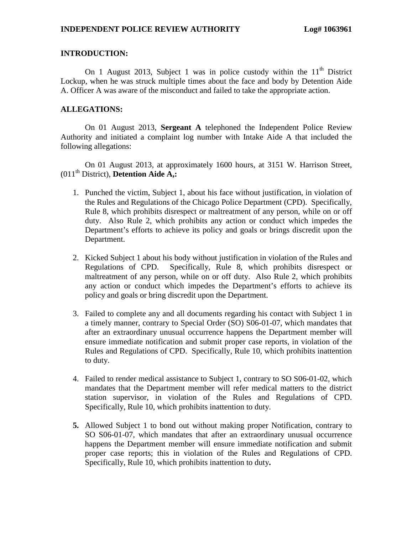# **INTRODUCTION:**

On 1 August 2013, Subject 1 was in police custody within the  $11<sup>th</sup>$  District Lockup, when he was struck multiple times about the face and body by Detention Aide A. Officer A was aware of the misconduct and failed to take the appropriate action.

# **ALLEGATIONS:**

On 01 August 2013, **Sergeant A** telephoned the Independent Police Review Authority and initiated a complaint log number with Intake Aide A that included the following allegations:

On 01 August 2013, at approximately 1600 hours, at 3151 W. Harrison Street, (011th District), **Detention Aide A,:**

- 1. Punched the victim, Subject 1, about his face without justification, in violation of the Rules and Regulations of the Chicago Police Department (CPD). Specifically, Rule 8, which prohibits disrespect or maltreatment of any person, while on or off duty. Also Rule 2, which prohibits any action or conduct which impedes the Department's efforts to achieve its policy and goals or brings discredit upon the Department.
- 2. Kicked Subject 1 about his body without justification in violation of the Rules and Regulations of CPD. Specifically, Rule 8, which prohibits disrespect or maltreatment of any person, while on or off duty. Also Rule 2, which prohibits any action or conduct which impedes the Department's efforts to achieve its policy and goals or bring discredit upon the Department.
- 3. Failed to complete any and all documents regarding his contact with Subject 1 in a timely manner, contrary to Special Order (SO) S06-01-07, which mandates that after an extraordinary unusual occurrence happens the Department member will ensure immediate notification and submit proper case reports, in violation of the Rules and Regulations of CPD. Specifically, Rule 10, which prohibits inattention to duty.
- 4. Failed to render medical assistance to Subject 1, contrary to SO S06-01-02, which mandates that the Department member will refer medical matters to the district station supervisor, in violation of the Rules and Regulations of CPD. Specifically, Rule 10, which prohibits inattention to duty.
- **5.** Allowed Subject 1 to bond out without making proper Notification, contrary to SO S06-01-07, which mandates that after an extraordinary unusual occurrence happens the Department member will ensure immediate notification and submit proper case reports; this in violation of the Rules and Regulations of CPD. Specifically, Rule 10, which prohibits inattention to duty**.**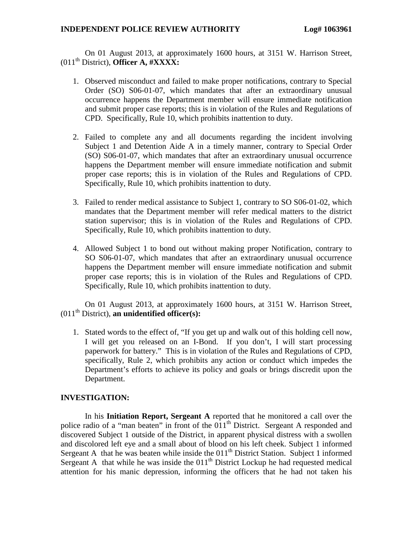On 01 August 2013, at approximately 1600 hours, at 3151 W. Harrison Street, (011th District), **Officer A, #XXXX:**

- 1. Observed misconduct and failed to make proper notifications, contrary to Special Order (SO) S06-01-07, which mandates that after an extraordinary unusual occurrence happens the Department member will ensure immediate notification and submit proper case reports; this is in violation of the Rules and Regulations of CPD. Specifically, Rule 10, which prohibits inattention to duty.
- 2. Failed to complete any and all documents regarding the incident involving Subject 1 and Detention Aide A in a timely manner, contrary to Special Order (SO) S06-01-07, which mandates that after an extraordinary unusual occurrence happens the Department member will ensure immediate notification and submit proper case reports; this is in violation of the Rules and Regulations of CPD. Specifically, Rule 10, which prohibits inattention to duty.
- 3. Failed to render medical assistance to Subject 1, contrary to SO S06-01-02, which mandates that the Department member will refer medical matters to the district station supervisor; this is in violation of the Rules and Regulations of CPD. Specifically, Rule 10, which prohibits inattention to duty.
- 4. Allowed Subject 1 to bond out without making proper Notification, contrary to SO S06-01-07, which mandates that after an extraordinary unusual occurrence happens the Department member will ensure immediate notification and submit proper case reports; this is in violation of the Rules and Regulations of CPD. Specifically, Rule 10, which prohibits inattention to duty.

On 01 August 2013, at approximately 1600 hours, at 3151 W. Harrison Street, (011th District), **an unidentified officer(s):**

1. Stated words to the effect of, "If you get up and walk out of this holding cell now, I will get you released on an I-Bond. If you don't, I will start processing paperwork for battery." This is in violation of the Rules and Regulations of CPD, specifically, Rule 2, which prohibits any action or conduct which impedes the Department's efforts to achieve its policy and goals or brings discredit upon the Department.

## **INVESTIGATION:**

In his **Initiation Report, Sergeant A** reported that he monitored a call over the police radio of a "man beaten" in front of the  $011<sup>th</sup>$  District. Sergeant A responded and discovered Subject 1 outside of the District, in apparent physical distress with a swollen and discolored left eye and a small about of blood on his left cheek. Subject 1 informed Sergeant A that he was beaten while inside the  $011<sup>th</sup>$  District Station. Subject 1 informed Sergeant A that while he was inside the  $011<sup>th</sup>$  District Lockup he had requested medical attention for his manic depression, informing the officers that he had not taken his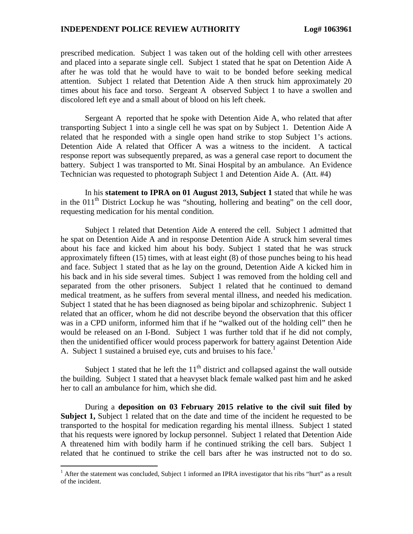prescribed medication. Subject 1 was taken out of the holding cell with other arrestees and placed into a separate single cell. Subject 1 stated that he spat on Detention Aide A after he was told that he would have to wait to be bonded before seeking medical attention. Subject 1 related that Detention Aide A then struck him approximately 20 times about his face and torso. Sergeant A observed Subject 1 to have a swollen and discolored left eye and a small about of blood on his left cheek.

Sergeant A reported that he spoke with Detention Aide A, who related that after transporting Subject 1 into a single cell he was spat on by Subject 1. Detention Aide A related that he responded with a single open hand strike to stop Subject 1's actions. Detention Aide A related that Officer A was a witness to the incident. A tactical response report was subsequently prepared, as was a general case report to document the battery. Subject 1 was transported to Mt. Sinai Hospital by an ambulance. An Evidence Technician was requested to photograph Subject 1 and Detention Aide A. (Att. #4)

In his **statement to IPRA on 01 August 2013, Subject 1** stated that while he was in the  $011<sup>th</sup>$  District Lockup he was "shouting, hollering and beating" on the cell door, requesting medication for his mental condition.

Subject 1 related that Detention Aide A entered the cell. Subject 1 admitted that he spat on Detention Aide A and in response Detention Aide A struck him several times about his face and kicked him about his body. Subject 1 stated that he was struck approximately fifteen (15) times, with at least eight (8) of those punches being to his head and face. Subject 1 stated that as he lay on the ground, Detention Aide A kicked him in his back and in his side several times. Subject 1 was removed from the holding cell and separated from the other prisoners. Subject 1 related that he continued to demand medical treatment, as he suffers from several mental illness, and needed his medication. Subject 1 stated that he has been diagnosed as being bipolar and schizophrenic. Subject 1 related that an officer, whom he did not describe beyond the observation that this officer was in a CPD uniform, informed him that if he "walked out of the holding cell" then he would be released on an I-Bond. Subject 1 was further told that if he did not comply, then the unidentified officer would process paperwork for battery against Detention Aide A.Subject 1 sustained a bruised eye, cuts and bruises to his face.<sup>1</sup>

Subject 1 stated that he left the  $11<sup>th</sup>$  district and collapsed against the wall outside the building. Subject 1 stated that a heavyset black female walked past him and he asked her to call an ambulance for him, which she did.

During a **deposition on 03 February 2015 relative to the civil suit filed by Subject 1,** Subject 1 related that on the date and time of the incident he requested to be transported to the hospital for medication regarding his mental illness. Subject 1 stated that his requests were ignored by lockup personnel. Subject 1 related that Detention Aide A threatened him with bodily harm if he continued striking the cell bars. Subject 1 related that he continued to strike the cell bars after he was instructed not to do so.

<span id="page-3-0"></span><sup>&</sup>lt;sup>1</sup> After the statement was concluded, Subject 1 informed an IPRA investigator that his ribs "hurt" as a result of the incident.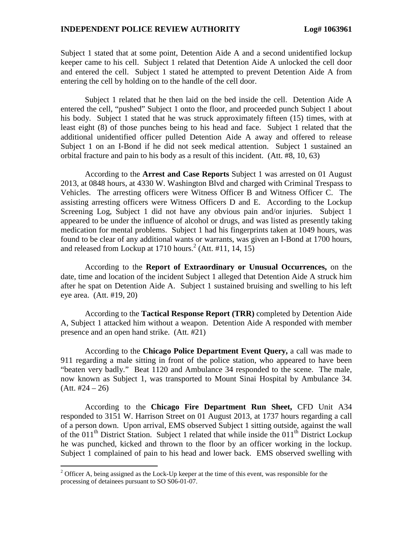Subject 1 stated that at some point, Detention Aide A and a second unidentified lockup keeper came to his cell. Subject 1 related that Detention Aide A unlocked the cell door and entered the cell. Subject 1 stated he attempted to prevent Detention Aide A from entering the cell by holding on to the handle of the cell door.

Subject 1 related that he then laid on the bed inside the cell. Detention Aide A entered the cell, "pushed" Subject 1 onto the floor, and proceeded punch Subject 1 about his body. Subject 1 stated that he was struck approximately fifteen (15) times, with at least eight (8) of those punches being to his head and face. Subject 1 related that the additional unidentified officer pulled Detention Aide A away and offered to release Subject 1 on an I-Bond if he did not seek medical attention. Subject 1 sustained an orbital fracture and pain to his body as a result of this incident. (Att. #8, 10, 63)

According to the **Arrest and Case Reports** Subject 1 was arrested on 01 August 2013, at 0848 hours, at 4330 W. Washington Blvd and charged with Criminal Trespass to Vehicles. The arresting officers were Witness Officer B and Witness Officer C. The assisting arresting officers were Witness Officers D and E. According to the Lockup Screening Log, Subject 1 did not have any obvious pain and/or injuries. Subject 1 appeared to be under the influence of alcohol or drugs, and was listed as presently taking medication for mental problems. Subject 1 had his fingerprints taken at 1049 hours, was found to be clear of any additional wants or warrants, was given an I-Bond at 1700 hours, and released from Lockup at 1710 hours.<sup>[2](#page-4-0)</sup> (Att. #11, 14, 15)

According to the **Report of Extraordinary or Unusual Occurrences,** on the date, time and location of the incident Subject 1 alleged that Detention Aide A struck him after he spat on Detention Aide A. Subject 1 sustained bruising and swelling to his left eye area. (Att. #19, 20)

According to the **Tactical Response Report (TRR)** completed by Detention Aide A, Subject 1 attacked him without a weapon. Detention Aide A responded with member presence and an open hand strike. (Att. #21)

According to the **Chicago Police Department Event Query,** a call was made to 911 regarding a male sitting in front of the police station, who appeared to have been "beaten very badly." Beat 1120 and Ambulance 34 responded to the scene. The male, now known as Subject 1, was transported to Mount Sinai Hospital by Ambulance 34.  $(Att. #24 – 26)$ 

According to the **Chicago Fire Department Run Sheet,** CFD Unit A34 responded to 3151 W. Harrison Street on 01 August 2013, at 1737 hours regarding a call of a person down. Upon arrival, EMS observed Subject 1 sitting outside, against the wall of the 011<sup>th</sup> District Station. Subject 1 related that while inside the 011<sup>th</sup> District Lockup he was punched, kicked and thrown to the floor by an officer working in the lockup. Subject 1 complained of pain to his head and lower back. EMS observed swelling with

<span id="page-4-0"></span> $2^2$  Officer A, being assigned as the Lock-Up keeper at the time of this event, was responsible for the processing of detainees pursuant to SO S06-01-07.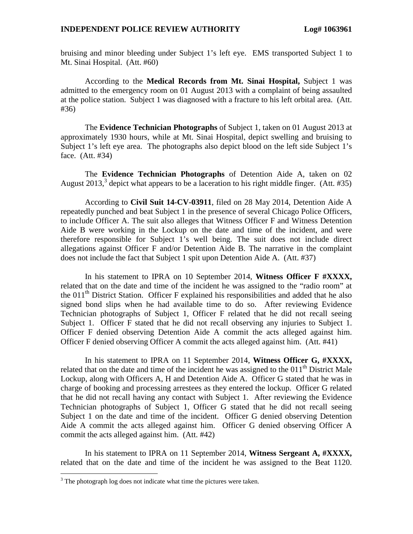bruising and minor bleeding under Subject 1's left eye. EMS transported Subject 1 to Mt. Sinai Hospital. (Att. #60)

According to the **Medical Records from Mt. Sinai Hospital,** Subject 1 was admitted to the emergency room on 01 August 2013 with a complaint of being assaulted at the police station. Subject 1 was diagnosed with a fracture to his left orbital area. (Att. #36)

The **Evidence Technician Photographs** of Subject 1, taken on 01 August 2013 at approximately 1930 hours, while at Mt. Sinai Hospital, depict swelling and bruising to Subject 1's left eye area. The photographs also depict blood on the left side Subject 1's face. (Att. #34)

The **Evidence Technician Photographs** of Detention Aide A, taken on 02 August2013[,](#page-5-0)<sup>3</sup> depict what appears to be a laceration to his right middle finger. (Att. #35)

According to **Civil Suit 14-CV-03911**, filed on 28 May 2014, Detention Aide A repeatedly punched and beat Subject 1 in the presence of several Chicago Police Officers, to include Officer A. The suit also alleges that Witness Officer F and Witness Detention Aide B were working in the Lockup on the date and time of the incident, and were therefore responsible for Subject 1's well being. The suit does not include direct allegations against Officer F and/or Detention Aide B. The narrative in the complaint does not include the fact that Subject 1 spit upon Detention Aide A. (Att. #37)

In his statement to IPRA on 10 September 2014, **Witness Officer F #XXXX,** related that on the date and time of the incident he was assigned to the "radio room" at the 011<sup>th</sup> District Station. Officer F explained his responsibilities and added that he also signed bond slips when he had available time to do so. After reviewing Evidence Technician photographs of Subject 1, Officer F related that he did not recall seeing Subject 1. Officer F stated that he did not recall observing any injuries to Subject 1. Officer F denied observing Detention Aide A commit the acts alleged against him. Officer F denied observing Officer A commit the acts alleged against him. (Att. #41)

In his statement to IPRA on 11 September 2014, **Witness Officer G, #XXXX,** related that on the date and time of the incident he was assigned to the  $011<sup>th</sup>$  District Male Lockup, along with Officers A, H and Detention Aide A. Officer G stated that he was in charge of booking and processing arrestees as they entered the lockup. Officer G related that he did not recall having any contact with Subject 1. After reviewing the Evidence Technician photographs of Subject 1, Officer G stated that he did not recall seeing Subject 1 on the date and time of the incident. Officer G denied observing Detention Aide A commit the acts alleged against him. Officer G denied observing Officer A commit the acts alleged against him. (Att. #42)

In his statement to IPRA on 11 September 2014, **Witness Sergeant A, #XXXX,** related that on the date and time of the incident he was assigned to the Beat 1120.

<span id="page-5-0"></span> $3$  The photograph log does not indicate what time the pictures were taken.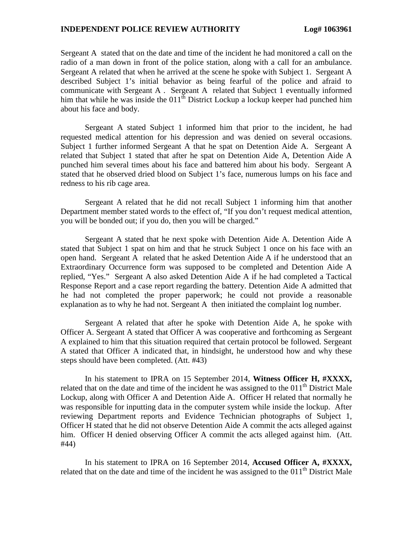Sergeant A stated that on the date and time of the incident he had monitored a call on the radio of a man down in front of the police station, along with a call for an ambulance. Sergeant A related that when he arrived at the scene he spoke with Subject 1. Sergeant A described Subject 1's initial behavior as being fearful of the police and afraid to communicate with Sergeant A . Sergeant A related that Subject 1 eventually informed him that while he was inside the  $011^{th}$  District Lockup a lockup keeper had punched him about his face and body.

Sergeant A stated Subject 1 informed him that prior to the incident, he had requested medical attention for his depression and was denied on several occasions. Subject 1 further informed Sergeant A that he spat on Detention Aide A. Sergeant A related that Subject 1 stated that after he spat on Detention Aide A, Detention Aide A punched him several times about his face and battered him about his body. Sergeant A stated that he observed dried blood on Subject 1's face, numerous lumps on his face and redness to his rib cage area.

Sergeant A related that he did not recall Subject 1 informing him that another Department member stated words to the effect of, "If you don't request medical attention, you will be bonded out; if you do, then you will be charged."

Sergeant A stated that he next spoke with Detention Aide A. Detention Aide A stated that Subject 1 spat on him and that he struck Subject 1 once on his face with an open hand. Sergeant A related that he asked Detention Aide A if he understood that an Extraordinary Occurrence form was supposed to be completed and Detention Aide A replied, "Yes." Sergeant A also asked Detention Aide A if he had completed a Tactical Response Report and a case report regarding the battery. Detention Aide A admitted that he had not completed the proper paperwork; he could not provide a reasonable explanation as to why he had not. Sergeant A then initiated the complaint log number.

Sergeant A related that after he spoke with Detention Aide A, he spoke with Officer A. Sergeant A stated that Officer A was cooperative and forthcoming as Sergeant A explained to him that this situation required that certain protocol be followed. Sergeant A stated that Officer A indicated that, in hindsight, he understood how and why these steps should have been completed. (Att. #43)

In his statement to IPRA on 15 September 2014, **Witness Officer H, #XXXX,** related that on the date and time of the incident he was assigned to the  $011<sup>th</sup>$  District Male Lockup, along with Officer A and Detention Aide A. Officer H related that normally he was responsible for inputting data in the computer system while inside the lockup. After reviewing Department reports and Evidence Technician photographs of Subject 1, Officer H stated that he did not observe Detention Aide A commit the acts alleged against him. Officer H denied observing Officer A commit the acts alleged against him. (Att. #44)

In his statement to IPRA on 16 September 2014, **Accused Officer A, #XXXX,** related that on the date and time of the incident he was assigned to the  $011<sup>th</sup>$  District Male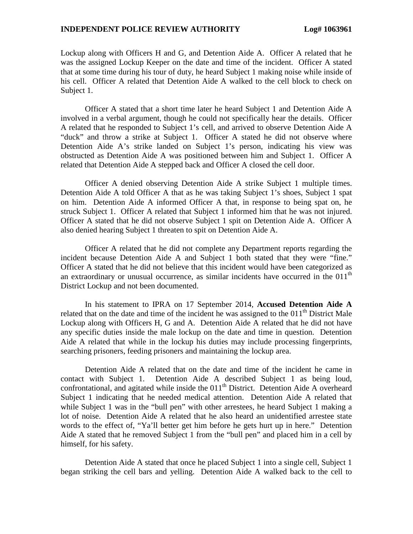Lockup along with Officers H and G, and Detention Aide A. Officer A related that he was the assigned Lockup Keeper on the date and time of the incident. Officer A stated that at some time during his tour of duty, he heard Subject 1 making noise while inside of his cell. Officer A related that Detention Aide A walked to the cell block to check on Subject 1.

Officer A stated that a short time later he heard Subject 1 and Detention Aide A involved in a verbal argument, though he could not specifically hear the details. Officer A related that he responded to Subject 1's cell, and arrived to observe Detention Aide A "duck" and throw a strike at Subject 1. Officer A stated he did not observe where Detention Aide A's strike landed on Subject 1's person, indicating his view was obstructed as Detention Aide A was positioned between him and Subject 1. Officer A related that Detention Aide A stepped back and Officer A closed the cell door.

Officer A denied observing Detention Aide A strike Subject 1 multiple times. Detention Aide A told Officer A that as he was taking Subject 1's shoes, Subject 1 spat on him. Detention Aide A informed Officer A that, in response to being spat on, he struck Subject 1. Officer A related that Subject 1 informed him that he was not injured. Officer A stated that he did not observe Subject 1 spit on Detention Aide A. Officer A also denied hearing Subject 1 threaten to spit on Detention Aide A.

Officer A related that he did not complete any Department reports regarding the incident because Detention Aide A and Subject 1 both stated that they were "fine." Officer A stated that he did not believe that this incident would have been categorized as an extraordinary or unusual occurrence, as similar incidents have occurred in the  $011<sup>th</sup>$ District Lockup and not been documented.

In his statement to IPRA on 17 September 2014, **Accused Detention Aide A** related that on the date and time of the incident he was assigned to the  $011<sup>th</sup>$  District Male Lockup along with Officers H, G and A. Detention Aide A related that he did not have any specific duties inside the male lockup on the date and time in question. Detention Aide A related that while in the lockup his duties may include processing fingerprints, searching prisoners, feeding prisoners and maintaining the lockup area.

Detention Aide A related that on the date and time of the incident he came in contact with Subject 1. Detention Aide A described Subject 1 as being loud, confrontational, and agitated while inside the 011<sup>th</sup> District. Detention Aide A overheard Subject 1 indicating that he needed medical attention. Detention Aide A related that while Subject 1 was in the "bull pen" with other arrestees, he heard Subject 1 making a lot of noise. Detention Aide A related that he also heard an unidentified arrestee state words to the effect of, "Ya'll better get him before he gets hurt up in here." Detention Aide A stated that he removed Subject 1 from the "bull pen" and placed him in a cell by himself, for his safety.

Detention Aide A stated that once he placed Subject 1 into a single cell, Subject 1 began striking the cell bars and yelling. Detention Aide A walked back to the cell to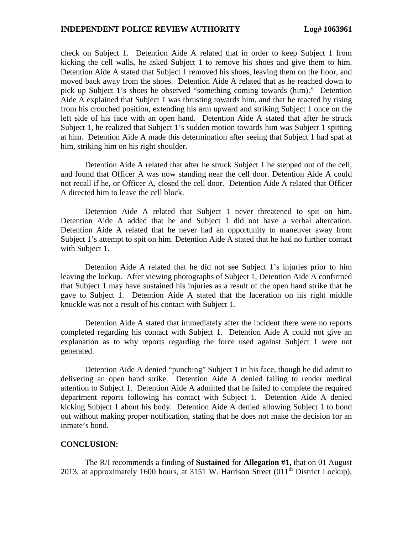check on Subject 1. Detention Aide A related that in order to keep Subject 1 from kicking the cell walls, he asked Subject 1 to remove his shoes and give them to him. Detention Aide A stated that Subject 1 removed his shoes, leaving them on the floor, and moved back away from the shoes. Detention Aide A related that as he reached down to pick up Subject 1's shoes he observed "something coming towards (him)." Detention Aide A explained that Subject 1 was thrusting towards him, and that he reacted by rising from his crouched position, extending his arm upward and striking Subject 1 once on the left side of his face with an open hand. Detention Aide A stated that after he struck Subject 1, he realized that Subject 1's sudden motion towards him was Subject 1 spitting at him. Detention Aide A made this determination after seeing that Subject 1 had spat at him, striking him on his right shoulder.

Detention Aide A related that after he struck Subject 1 he stepped out of the cell, and found that Officer A was now standing near the cell door. Detention Aide A could not recall if he, or Officer A, closed the cell door. Detention Aide A related that Officer A directed him to leave the cell block.

Detention Aide A related that Subject 1 never threatened to spit on him. Detention Aide A added that he and Subject 1 did not have a verbal altercation. Detention Aide A related that he never had an opportunity to maneuver away from Subject 1's attempt to spit on him. Detention Aide A stated that he had no further contact with Subject 1.

Detention Aide A related that he did not see Subject 1's injuries prior to him leaving the lockup. After viewing photographs of Subject 1, Detention Aide A confirmed that Subject 1 may have sustained his injuries as a result of the open hand strike that he gave to Subject 1. Detention Aide A stated that the laceration on his right middle knuckle was not a result of his contact with Subject 1.

Detention Aide A stated that immediately after the incident there were no reports completed regarding his contact with Subject 1. Detention Aide A could not give an explanation as to why reports regarding the force used against Subject 1 were not generated.

Detention Aide A denied "punching" Subject 1 in his face, though he did admit to delivering an open hand strike. Detention Aide A denied failing to render medical attention to Subject 1. Detention Aide A admitted that he failed to complete the required department reports following his contact with Subject 1. Detention Aide A denied kicking Subject 1 about his body. Detention Aide A denied allowing Subject 1 to bond out without making proper notification, stating that he does not make the decision for an inmate's bond.

#### **CONCLUSION:**

The R/I recommends a finding of **Sustained** for **Allegation #1,** that on 01 August 2013, at approximately 1600 hours, at 3151 W. Harrison Street  $(011<sup>th</sup>$  District Lockup),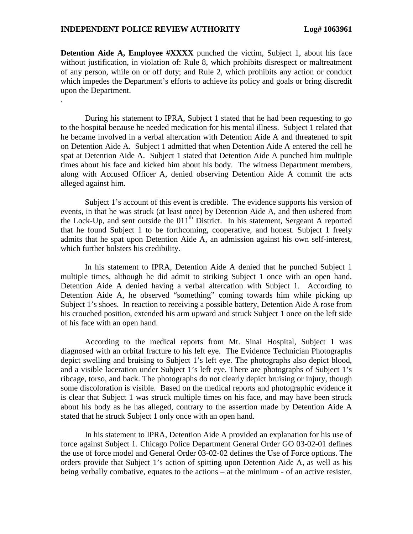.

**Detention Aide A, Employee #XXXX** punched the victim, Subject 1, about his face without justification, in violation of: Rule 8, which prohibits disrespect or maltreatment of any person, while on or off duty; and Rule 2, which prohibits any action or conduct which impedes the Department's efforts to achieve its policy and goals or bring discredit upon the Department.

During his statement to IPRA, Subject 1 stated that he had been requesting to go to the hospital because he needed medication for his mental illness. Subject 1 related that he became involved in a verbal altercation with Detention Aide A and threatened to spit on Detention Aide A. Subject 1 admitted that when Detention Aide A entered the cell he spat at Detention Aide A. Subject 1 stated that Detention Aide A punched him multiple times about his face and kicked him about his body. The witness Department members, along with Accused Officer A, denied observing Detention Aide A commit the acts alleged against him.

Subject 1's account of this event is credible. The evidence supports his version of events, in that he was struck (at least once) by Detention Aide A, and then ushered from the Lock-Up, and sent outside the  $011<sup>th</sup>$  District. In his statement, Sergeant A reported that he found Subject 1 to be forthcoming, cooperative, and honest. Subject 1 freely admits that he spat upon Detention Aide A, an admission against his own self-interest, which further bolsters his credibility.

In his statement to IPRA, Detention Aide A denied that he punched Subject 1 multiple times, although he did admit to striking Subject 1 once with an open hand. Detention Aide A denied having a verbal altercation with Subject 1. According to Detention Aide A, he observed "something" coming towards him while picking up Subject 1's shoes. In reaction to receiving a possible battery, Detention Aide A rose from his crouched position, extended his arm upward and struck Subject 1 once on the left side of his face with an open hand.

According to the medical reports from Mt. Sinai Hospital, Subject 1 was diagnosed with an orbital fracture to his left eye. The Evidence Technician Photographs depict swelling and bruising to Subject 1's left eye. The photographs also depict blood, and a visible laceration under Subject 1's left eye. There are photographs of Subject 1's ribcage, torso, and back. The photographs do not clearly depict bruising or injury, though some discoloration is visible. Based on the medical reports and photographic evidence it is clear that Subject 1 was struck multiple times on his face, and may have been struck about his body as he has alleged, contrary to the assertion made by Detention Aide A stated that he struck Subject 1 only once with an open hand.

In his statement to IPRA, Detention Aide A provided an explanation for his use of force against Subject 1. Chicago Police Department General Order GO 03-02-01 defines the use of force model and General Order 03-02-02 defines the Use of Force options. The orders provide that Subject 1's action of spitting upon Detention Aide A, as well as his being verbally combative, equates to the actions – at the minimum - of an active resister,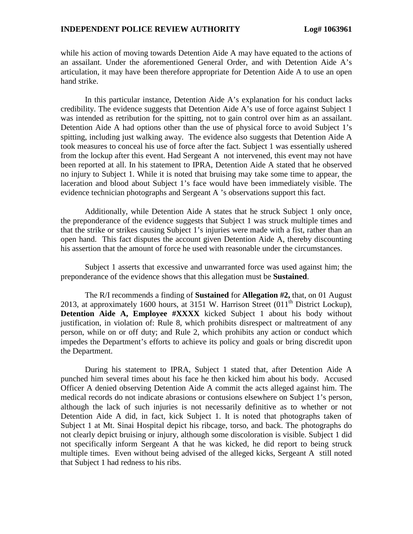while his action of moving towards Detention Aide A may have equated to the actions of an assailant. Under the aforementioned General Order, and with Detention Aide A's articulation, it may have been therefore appropriate for Detention Aide A to use an open hand strike.

In this particular instance, Detention Aide A's explanation for his conduct lacks credibility. The evidence suggests that Detention Aide A's use of force against Subject 1 was intended as retribution for the spitting, not to gain control over him as an assailant. Detention Aide A had options other than the use of physical force to avoid Subject 1's spitting, including just walking away. The evidence also suggests that Detention Aide A took measures to conceal his use of force after the fact. Subject 1 was essentially ushered from the lockup after this event. Had Sergeant A not intervened, this event may not have been reported at all. In his statement to IPRA, Detention Aide A stated that he observed no injury to Subject 1. While it is noted that bruising may take some time to appear, the laceration and blood about Subject 1's face would have been immediately visible. The evidence technician photographs and Sergeant A 's observations support this fact.

Additionally, while Detention Aide A states that he struck Subject 1 only once, the preponderance of the evidence suggests that Subject 1 was struck multiple times and that the strike or strikes causing Subject 1's injuries were made with a fist, rather than an open hand. This fact disputes the account given Detention Aide A, thereby discounting his assertion that the amount of force he used with reasonable under the circumstances.

Subject 1 asserts that excessive and unwarranted force was used against him; the preponderance of the evidence shows that this allegation must be **Sustained**.

The R/I recommends a finding of **Sustained** for **Allegation #2,** that, on 01 August 2013, at approximately 1600 hours, at 3151 W. Harrison Street  $(011<sup>th</sup>$  District Lockup), **Detention Aide A, Employee #XXXX** kicked Subject 1 about his body without justification, in violation of: Rule 8, which prohibits disrespect or maltreatment of any person, while on or off duty; and Rule 2, which prohibits any action or conduct which impedes the Department's efforts to achieve its policy and goals or bring discredit upon the Department.

During his statement to IPRA, Subject 1 stated that, after Detention Aide A punched him several times about his face he then kicked him about his body. Accused Officer A denied observing Detention Aide A commit the acts alleged against him. The medical records do not indicate abrasions or contusions elsewhere on Subject 1's person, although the lack of such injuries is not necessarily definitive as to whether or not Detention Aide A did, in fact, kick Subject 1. It is noted that photographs taken of Subject 1 at Mt. Sinai Hospital depict his ribcage, torso, and back. The photographs do not clearly depict bruising or injury, although some discoloration is visible. Subject 1 did not specifically inform Sergeant A that he was kicked, he did report to being struck multiple times. Even without being advised of the alleged kicks, Sergeant A still noted that Subject 1 had redness to his ribs.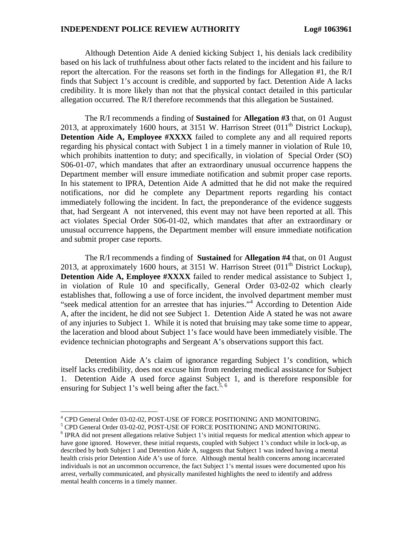Although Detention Aide A denied kicking Subject 1, his denials lack credibility based on his lack of truthfulness about other facts related to the incident and his failure to report the altercation. For the reasons set forth in the findings for Allegation #1, the R/I finds that Subject 1's account is credible, and supported by fact. Detention Aide A lacks credibility. It is more likely than not that the physical contact detailed in this particular allegation occurred. The R/I therefore recommends that this allegation be Sustained.

The R/I recommends a finding of **Sustained** for **Allegation #3** that, on 01 August 2013, at approximately 1600 hours, at 3151 W. Harrison Street  $(011<sup>th</sup>$  District Lockup), **Detention Aide A, Employee #XXXX** failed to complete any and all required reports regarding his physical contact with Subject 1 in a timely manner in violation of Rule 10, which prohibits inattention to duty; and specifically, in violation of Special Order (SO) S06-01-07, which mandates that after an extraordinary unusual occurrence happens the Department member will ensure immediate notification and submit proper case reports. In his statement to IPRA, Detention Aide A admitted that he did not make the required notifications, nor did he complete any Department reports regarding his contact immediately following the incident. In fact, the preponderance of the evidence suggests that, had Sergeant A not intervened, this event may not have been reported at all. This act violates Special Order S06-01-02, which mandates that after an extraordinary or unusual occurrence happens, the Department member will ensure immediate notification and submit proper case reports.

The R/I recommends a finding of **Sustained** for **Allegation #4** that, on 01 August 2013, at approximately 1600 hours, at 3151 W. Harrison Street  $(011<sup>th</sup>$  District Lockup), **Detention Aide A, Employee #XXXX** failed to render medical assistance to Subject 1, in violation of Rule 10 and specifically, General Order 03-02-02 which clearly establishes that, following a use of force incident, the involved department member must "seek medical attention for an arrestee that has injuries."[4](#page-11-0) According to Detention Aide A, after the incident, he did not see Subject 1. Detention Aide A stated he was not aware of any injuries to Subject 1. While it is noted that bruising may take some time to appear, the laceration and blood about Subject 1's face would have been immediately visible. The evidence technician photographs and Sergeant A's observations support this fact.

Detention Aide A's claim of ignorance regarding Subject 1's condition, which itself lacks credibility, does not excuse him from rendering medical assistance for Subject 1. Detention Aide A used force against Subject 1, and is therefore responsible for ensuringfor Subject 1's well being after the fact.<sup>5, [6](#page-11-2)</sup>

<span id="page-11-1"></span><span id="page-11-0"></span><sup>4</sup> CPD General Order 03-02-02, POST-USE OF FORCE POSITIONING AND MONITORING.

<sup>5</sup> CPD General Order 03-02-02, POST-USE OF FORCE POSITIONING AND MONITORING.

<span id="page-11-2"></span><sup>&</sup>lt;sup>6</sup> IPRA did not present allegations relative Subject 1's initial requests for medical attention which appear to have gone ignored. However, these initial requests, coupled with Subject 1's conduct while in lock-up, as described by both Subject 1 and Detention Aide A, suggests that Subject 1 was indeed having a mental health crisis prior Detention Aide A's use of force. Although mental health concerns among incarcerated individuals is not an uncommon occurrence, the fact Subject 1's mental issues were documented upon his arrest, verbally communicated, and physically manifested highlights the need to identify and address mental health concerns in a timely manner.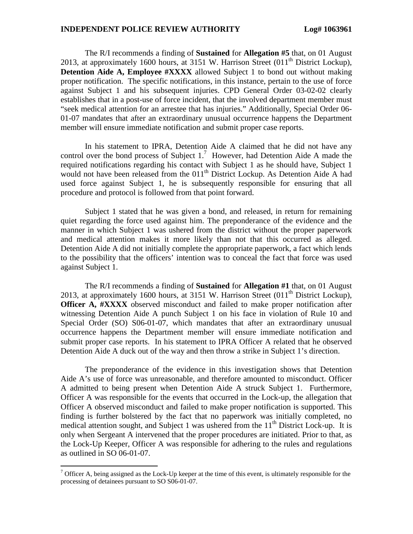The R/I recommends a finding of **Sustained** for **Allegation #5** that, on 01 August 2013, at approximately 1600 hours, at 3151 W. Harrison Street  $(011<sup>th</sup>$  District Lockup), **Detention Aide A, Employee #XXXX** allowed Subject 1 to bond out without making proper notification. The specific notifications, in this instance, pertain to the use of force against Subject 1 and his subsequent injuries. CPD General Order 03-02-02 clearly establishes that in a post-use of force incident, that the involved department member must "seek medical attention for an arrestee that has injuries." Additionally, Special Order 06- 01-07 mandates that after an extraordinary unusual occurrence happens the Department member will ensure immediate notification and submit proper case reports.

In his statement to IPRA, Detention Aide A claimed that he did not have any controlover the bond process of Subject  $1<sup>7</sup>$  However, had Detention Aide A made the required notifications regarding his contact with Subject 1 as he should have, Subject 1 would not have been released from the  $011<sup>th</sup>$  District Lockup. As Detention Aide A had used force against Subject 1, he is subsequently responsible for ensuring that all procedure and protocol is followed from that point forward.

Subject 1 stated that he was given a bond, and released, in return for remaining quiet regarding the force used against him. The preponderance of the evidence and the manner in which Subject 1 was ushered from the district without the proper paperwork and medical attention makes it more likely than not that this occurred as alleged. Detention Aide A did not initially complete the appropriate paperwork, a fact which lends to the possibility that the officers' intention was to conceal the fact that force was used against Subject 1.

The R/I recommends a finding of **Sustained** for **Allegation #1** that, on 01 August 2013, at approximately 1600 hours, at 3151 W. Harrison Street  $(011<sup>th</sup>$  District Lockup), **Officer A, #XXXX** observed misconduct and failed to make proper notification after witnessing Detention Aide A punch Subject 1 on his face in violation of Rule 10 and Special Order (SO) S06-01-07, which mandates that after an extraordinary unusual occurrence happens the Department member will ensure immediate notification and submit proper case reports. In his statement to IPRA Officer A related that he observed Detention Aide A duck out of the way and then throw a strike in Subject 1's direction.

The preponderance of the evidence in this investigation shows that Detention Aide A's use of force was unreasonable, and therefore amounted to misconduct. Officer A admitted to being present when Detention Aide A struck Subject 1. Furthermore, Officer A was responsible for the events that occurred in the Lock-up, the allegation that Officer A observed misconduct and failed to make proper notification is supported. This finding is further bolstered by the fact that no paperwork was initially completed, no medical attention sought, and Subject 1 was ushered from the  $11<sup>th</sup>$  District Lock-up. It is only when Sergeant A intervened that the proper procedures are initiated. Prior to that, as the Lock-Up Keeper, Officer A was responsible for adhering to the rules and regulations as outlined in SO 06-01-07.

<span id="page-12-0"></span> $<sup>7</sup>$  Officer A, being assigned as the Lock-Up keeper at the time of this event, is ultimately responsible for the</sup> processing of detainees pursuant to SO S06-01-07.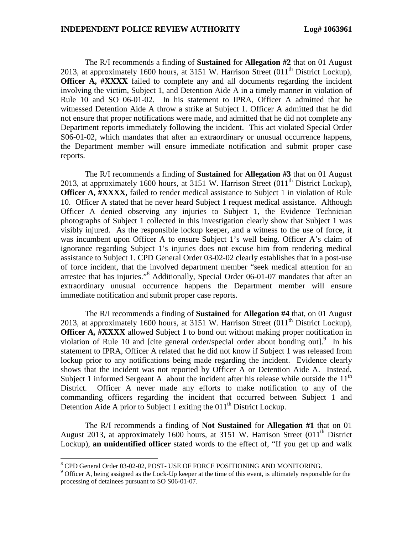The R/I recommends a finding of **Sustained** for **Allegation #2** that on 01 August 2013, at approximately 1600 hours, at 3151 W. Harrison Street  $(011<sup>th</sup>$  District Lockup), **Officer A, #XXXX** failed to complete any and all documents regarding the incident involving the victim, Subject 1, and Detention Aide A in a timely manner in violation of Rule 10 and SO 06-01-02. In his statement to IPRA, Officer A admitted that he witnessed Detention Aide A throw a strike at Subject 1. Officer A admitted that he did not ensure that proper notifications were made, and admitted that he did not complete any Department reports immediately following the incident. This act violated Special Order S06-01-02, which mandates that after an extraordinary or unusual occurrence happens, the Department member will ensure immediate notification and submit proper case reports.

The R/I recommends a finding of **Sustained** for **Allegation #3** that on 01 August 2013, at approximately 1600 hours, at 3151 W. Harrison Street  $(011<sup>th</sup>$  District Lockup), **Officer A, #XXXX,** failed to render medical assistance to Subject 1 in violation of Rule 10. Officer A stated that he never heard Subject 1 request medical assistance. Although Officer A denied observing any injuries to Subject 1, the Evidence Technician photographs of Subject 1 collected in this investigation clearly show that Subject 1 was visibly injured. As the responsible lockup keeper, and a witness to the use of force, it was incumbent upon Officer A to ensure Subject 1's well being. Officer A's claim of ignorance regarding Subject 1's injuries does not excuse him from rendering medical assistance to Subject 1. CPD General Order 03-02-02 clearly establishes that in a post-use of force incident, that the involved department member "seek medical attention for an arrestee that has injuries."[8](#page-13-0) Additionally, Special Order 06-01-07 mandates that after an extraordinary unusual occurrence happens the Department member will ensure immediate notification and submit proper case reports.

The R/I recommends a finding of **Sustained** for **Allegation #4** that, on 01 August 2013, at approximately 1600 hours, at 3151 W. Harrison Street  $(011<sup>th</sup>$  District Lockup), **Officer A, #XXXX** allowed Subject 1 to bond out without making proper notification in violationof Rule 10 and [cite general order/special order about bonding out]. $9$  In his statement to IPRA, Officer A related that he did not know if Subject 1 was released from lockup prior to any notifications being made regarding the incident. Evidence clearly shows that the incident was not reported by Officer A or Detention Aide A. Instead, Subject 1 informed Sergeant A about the incident after his release while outside the  $11<sup>th</sup>$ District. Officer A never made any efforts to make notification to any of the commanding officers regarding the incident that occurred between Subject 1 and Detention Aide A prior to Subject 1 exiting the  $011<sup>th</sup>$  District Lockup.

The R/I recommends a finding of **Not Sustained** for **Allegation #1** that on 01 August 2013, at approximately 1600 hours, at 3151 W. Harrison Street (011<sup>th</sup> District Lockup), **an unidentified officer** stated words to the effect of, "If you get up and walk

<span id="page-13-0"></span><sup>8</sup> CPD General Order 03-02-02, POST- USE OF FORCE POSITIONING AND MONITORING.

<span id="page-13-1"></span><sup>&</sup>lt;sup>9</sup> Officer A, being assigned as the Lock-Up keeper at the time of this event, is ultimately responsible for the processing of detainees pursuant to SO S06-01-07.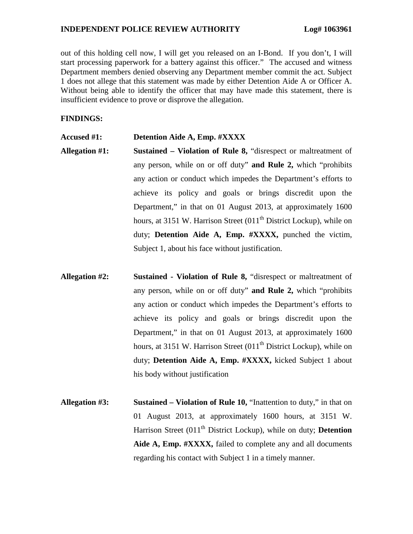out of this holding cell now, I will get you released on an I-Bond. If you don't, I will start processing paperwork for a battery against this officer." The accused and witness Department members denied observing any Department member commit the act. Subject 1 does not allege that this statement was made by either Detention Aide A or Officer A. Without being able to identify the officer that may have made this statement, there is insufficient evidence to prove or disprove the allegation.

# **FINDINGS:**

### **Accused #1: Detention Aide A, Emp. #XXXX**

- **Allegation #1: Sustained Violation of Rule 8,** "disrespect or maltreatment of any person, while on or off duty" **and Rule 2,** which "prohibits any action or conduct which impedes the Department's efforts to achieve its policy and goals or brings discredit upon the Department," in that on 01 August 2013, at approximately 1600 hours, at 3151 W. Harrison Street  $(011<sup>th</sup>$  District Lockup), while on duty; **Detention Aide A, Emp. #XXXX,** punched the victim, Subject 1, about his face without justification.
- **Allegation #2: Sustained Violation of Rule 8,** "disrespect or maltreatment of any person, while on or off duty" **and Rule 2,** which "prohibits any action or conduct which impedes the Department's efforts to achieve its policy and goals or brings discredit upon the Department," in that on 01 August 2013, at approximately 1600 hours, at 3151 W. Harrison Street  $(011<sup>th</sup>$  District Lockup), while on duty; **Detention Aide A, Emp. #XXXX,** kicked Subject 1 about his body without justification
- **Allegation #3: Sustained Violation of Rule 10,** "Inattention to duty," in that on 01 August 2013, at approximately 1600 hours, at 3151 W. Harrison Street (011<sup>th</sup> District Lockup), while on duty; **Detention Aide A, Emp. #XXXX,** failed to complete any and all documents regarding his contact with Subject 1 in a timely manner.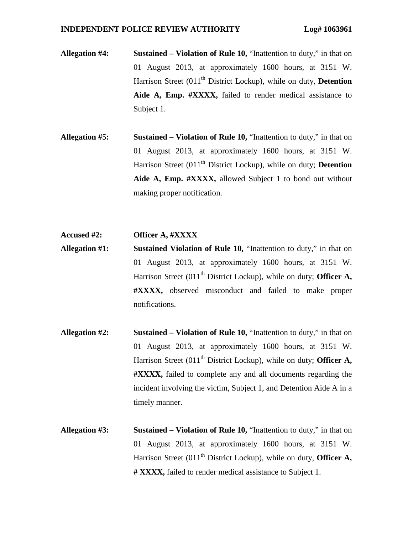- **Allegation #4: Sustained Violation of Rule 10,** "Inattention to duty," in that on 01 August 2013, at approximately 1600 hours, at 3151 W. Harrison Street (011<sup>th</sup> District Lockup), while on duty, **Detention Aide A, Emp. #XXXX,** failed to render medical assistance to Subject 1.
- **Allegation #5: Sustained Violation of Rule 10,** "Inattention to duty," in that on 01 August 2013, at approximately 1600 hours, at 3151 W. Harrison Street (011<sup>th</sup> District Lockup), while on duty; **Detention Aide A, Emp. #XXXX,** allowed Subject 1 to bond out without making proper notification.

### **Accused #2: Officer A, #XXXX**

- **Allegation #1: Sustained Violation of Rule 10,** "Inattention to duty," in that on 01 August 2013, at approximately 1600 hours, at 3151 W. Harrison Street (011<sup>th</sup> District Lockup), while on duty; **Officer A, #XXXX,** observed misconduct and failed to make proper notifications.
- **Allegation #2: Sustained Violation of Rule 10,** "Inattention to duty," in that on 01 August 2013, at approximately 1600 hours, at 3151 W. Harrison Street (011<sup>th</sup> District Lockup), while on duty; **Officer A, #XXXX,** failed to complete any and all documents regarding the incident involving the victim, Subject 1, and Detention Aide A in a timely manner.
- **Allegation #3: Sustained Violation of Rule 10,** "Inattention to duty," in that on 01 August 2013, at approximately 1600 hours, at 3151 W. Harrison Street (011<sup>th</sup> District Lockup), while on duty, **Officer A**, **# XXXX,** failed to render medical assistance to Subject 1.